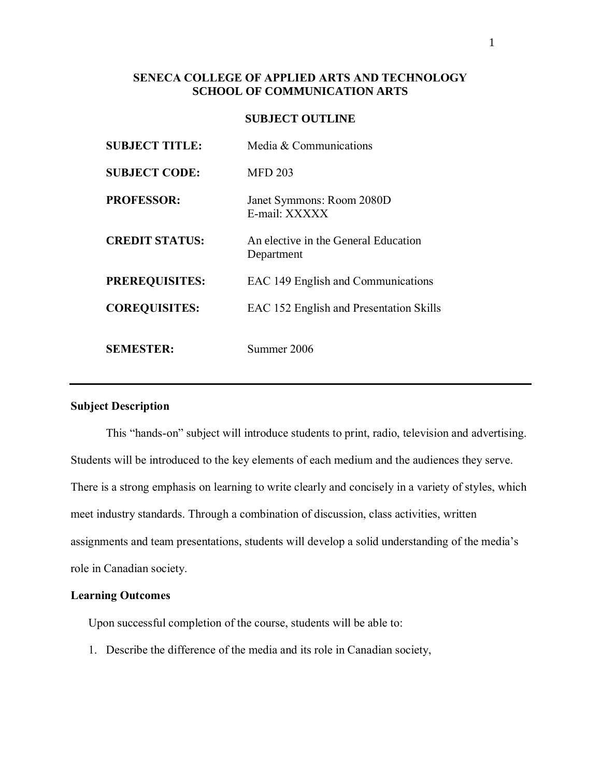# **SENECA COLLEGE OF APPLIED ARTS AND TECHNOLOGY SCHOOL OF COMMUNICATION ARTS**

# **SUBJECT OUTLINE**

| <b>SUBJECT TITLE:</b> | Media & Communications                             |
|-----------------------|----------------------------------------------------|
| <b>SUBJECT CODE:</b>  | <b>MFD 203</b>                                     |
| <b>PROFESSOR:</b>     | Janet Symmons: Room 2080D<br>E-mail: XXXXX         |
| <b>CREDIT STATUS:</b> | An elective in the General Education<br>Department |
| <b>PREREQUISITES:</b> | EAC 149 English and Communications                 |
| <b>COREQUISITES:</b>  | EAC 152 English and Presentation Skills            |
| <b>SEMESTER:</b>      | Summer 2006                                        |

### **Subject Description**

This "hands-on" subject will introduce students to print, radio, television and advertising. Students will be introduced to the key elements of each medium and the audiences they serve. There is a strong emphasis on learning to write clearly and concisely in a variety of styles, which meet industry standards. Through a combination of discussion, class activities, written assignments and team presentations, students will develop a solid understanding of the media's role in Canadian society.

# **Learning Outcomes**

Upon successful completion of the course, students will be able to:

1. Describe the difference of the media and its role in Canadian society,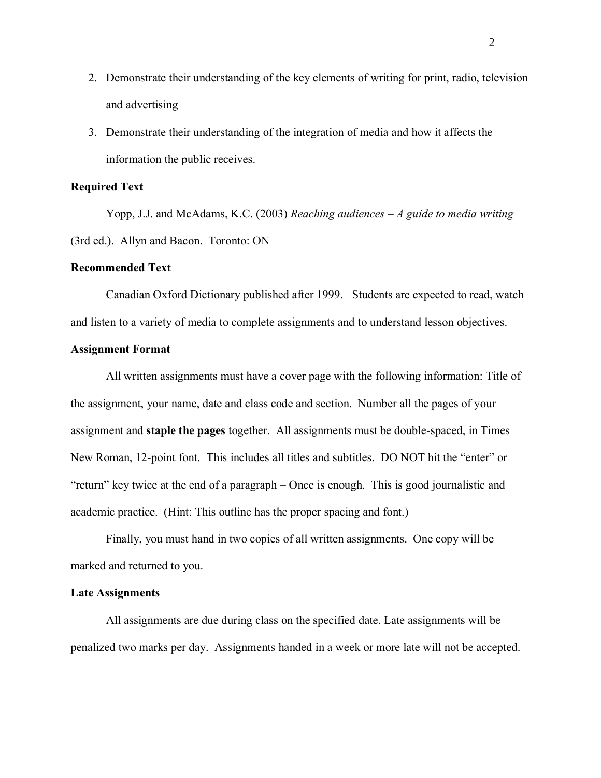- 2. Demonstrate their understanding of the key elements of writing for print, radio, television and advertising
- 3. Demonstrate their understanding of the integration of media and how it affects the information the public receives.

# **Required Text**

Yopp, J.J. and McAdams, K.C. (2003) *Reaching audiences – A guide to media writing* (3rd ed.). Allyn and Bacon. Toronto: ON

### **Recommended Text**

Canadian Oxford Dictionary published after 1999. Students are expected to read, watch and listen to a variety of media to complete assignments and to understand lesson objectives.

### **Assignment Format**

All written assignments must have a cover page with the following information: Title of the assignment, your name, date and class code and section. Number all the pages of your assignment and **staple the pages** together. All assignments must be double-spaced, in Times New Roman, 12-point font. This includes all titles and subtitles. DO NOT hit the "enter" or "return" key twice at the end of a paragraph – Once is enough. This is good journalistic and academic practice. (Hint: This outline has the proper spacing and font.)

Finally, you must hand in two copies of all written assignments. One copy will be marked and returned to you.

#### **Late Assignments**

All assignments are due during class on the specified date. Late assignments will be penalized two marks per day. Assignments handed in a week or more late will not be accepted.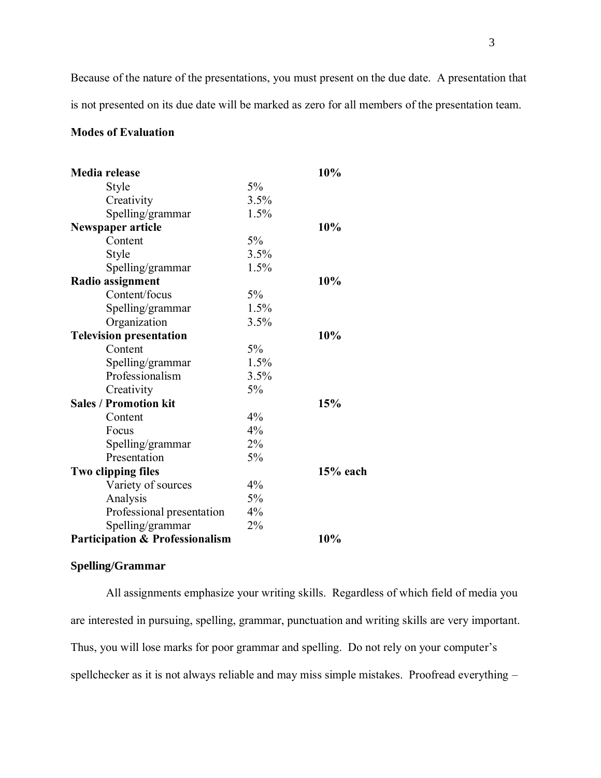Because of the nature of the presentations, you must present on the due date. A presentation that is not presented on its due date will be marked as zero for all members of the presentation team.

# **Modes of Evaluation**

| Media release                              |      | 10%        |
|--------------------------------------------|------|------------|
| <b>Style</b>                               | 5%   |            |
| Creativity                                 | 3.5% |            |
| Spelling/grammar                           | 1.5% |            |
| Newspaper article                          |      | 10%        |
| Content                                    | 5%   |            |
| Style                                      | 3.5% |            |
| Spelling/grammar                           | 1.5% |            |
| Radio assignment                           |      | 10%        |
| Content/focus                              | 5%   |            |
| Spelling/grammar                           | 1.5% |            |
| Organization                               | 3.5% |            |
| <b>Television presentation</b>             |      | 10%        |
| Content                                    | 5%   |            |
| Spelling/grammar                           | 1.5% |            |
| Professionalism                            | 3.5% |            |
| Creativity                                 | 5%   |            |
| <b>Sales / Promotion kit</b>               |      | 15%        |
| Content                                    | 4%   |            |
| Focus                                      | 4%   |            |
| Spelling/grammar                           | 2%   |            |
| Presentation                               | 5%   |            |
| Two clipping files                         |      | $15%$ each |
| Variety of sources                         | 4%   |            |
| Analysis                                   | 5%   |            |
| Professional presentation                  | 4%   |            |
| Spelling/grammar                           | 2%   |            |
| <b>Participation &amp; Professionalism</b> |      | 10%        |

### **Spelling/Grammar**

All assignments emphasize your writing skills. Regardless of which field of media you are interested in pursuing, spelling, grammar, punctuation and writing skills are very important. Thus, you will lose marks for poor grammar and spelling. Do not rely on your computer's spellchecker as it is not always reliable and may miss simple mistakes. Proofread everything –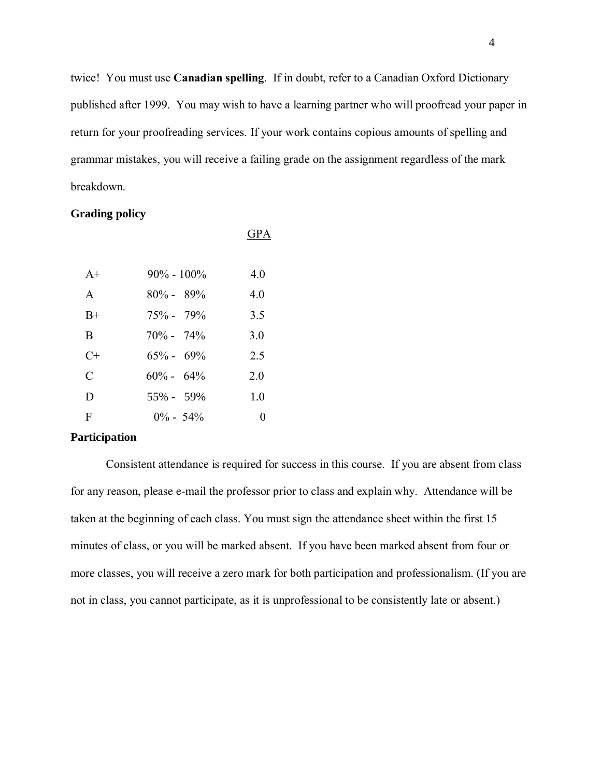twice! You must use **Canadian spelling**. If in doubt, refer to a Canadian Oxford Dictionary published after 1999. You may wish to have a learning partner who will proofread your paper in return for your proofreading services. If your work contains copious amounts of spelling and grammar mistakes, you will receive a failing grade on the assignment regardless of the mark breakdown.

GPA

### **Grading policy**

| $A+$          | $90\% - 100\%$ | 40  |
|---------------|----------------|-----|
| $\mathsf{A}$  | $80\% - 89\%$  | 40  |
| $B+$          | $75\% - 79\%$  | 3.5 |
| B             | $70\% - 74\%$  | 3.0 |
| $C+$          | $65\% - 69\%$  | 2.5 |
| $\mathcal{C}$ | $60\% - 64\%$  | 2.0 |
| D             | 55% - 59%      | 1.0 |
| F             | $0\% - 54\%$   |     |

# **Participation**

Consistent attendance is required for success in this course. If you are absent from class for any reason, please e-mail the professor prior to class and explain why. Attendance will be taken at the beginning of each class. You must sign the attendance sheet within the first 15 minutes of class, or you will be marked absent. If you have been marked absent from four or more classes, you will receive a zero mark for both participation and professionalism. (If you are not in class, you cannot participate, as it is unprofessional to be consistently late or absent.)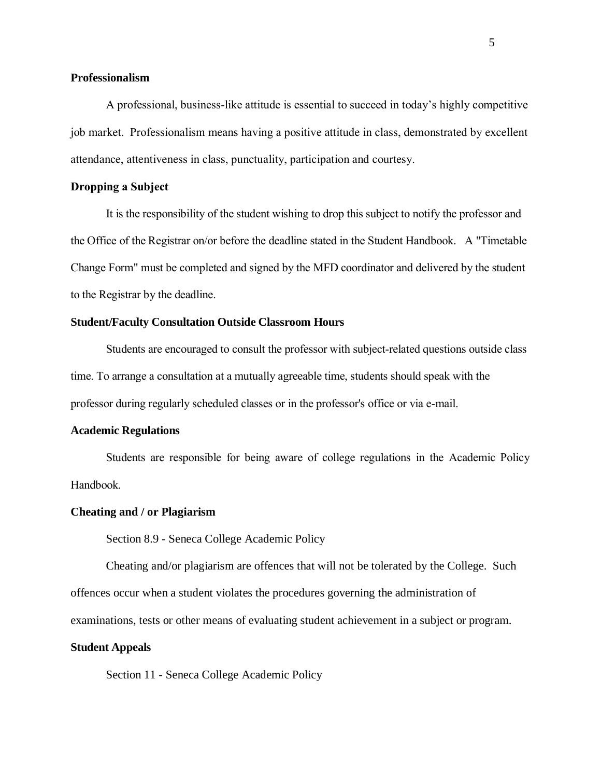### **Professionalism**

A professional, business-like attitude is essential to succeed in today's highly competitive job market. Professionalism means having a positive attitude in class, demonstrated by excellent attendance, attentiveness in class, punctuality, participation and courtesy.

#### **Dropping a Subject**

It is the responsibility of the student wishing to drop this subject to notify the professor and the Office of the Registrar on/or before the deadline stated in the Student Handbook. A "Timetable Change Form" must be completed and signed by the MFD coordinator and delivered by the student to the Registrar by the deadline.

### **Student/Faculty Consultation Outside Classroom Hours**

Students are encouraged to consult the professor with subject-related questions outside class time. To arrange a consultation at a mutually agreeable time, students should speak with the professor during regularly scheduled classes or in the professor's office or via e-mail.

### **Academic Regulations**

Students are responsible for being aware of college regulations in the Academic Policy Handbook.

#### **Cheating and / or Plagiarism**

Section 8.9 - Seneca College Academic Policy

Cheating and/or plagiarism are offences that will not be tolerated by the College. Such offences occur when a student violates the procedures governing the administration of examinations, tests or other means of evaluating student achievement in a subject or program.

#### **Student Appeals**

Section 11 - Seneca College Academic Policy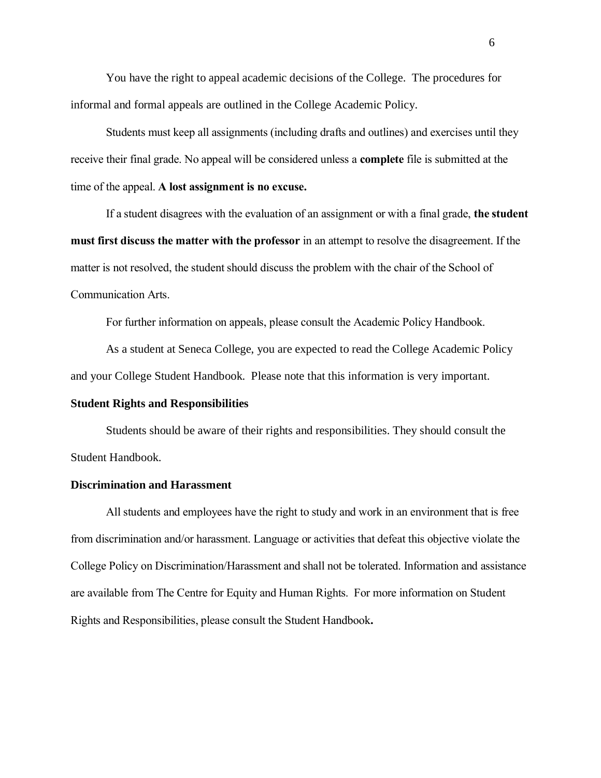You have the right to appeal academic decisions of the College. The procedures for informal and formal appeals are outlined in the College Academic Policy.

Students must keep all assignments (including drafts and outlines) and exercises until they receive their final grade. No appeal will be considered unless a **complete** file is submitted at the time of the appeal. **A lost assignment is no excuse.**

If a student disagrees with the evaluation of an assignment or with a final grade, **the student must first discuss the matter with the professor** in an attempt to resolve the disagreement. If the matter is not resolved, the student should discuss the problem with the chair of the School of Communication Arts.

For further information on appeals, please consult the Academic Policy Handbook.

As a student at Seneca College, you are expected to read the College Academic Policy and your College Student Handbook. Please note that this information is very important.

### **Student Rights and Responsibilities**

Students should be aware of their rights and responsibilities. They should consult the Student Handbook.

#### **Discrimination and Harassment**

All students and employees have the right to study and work in an environment that is free from discrimination and/or harassment. Language or activities that defeat this objective violate the College Policy on Discrimination/Harassment and shall not be tolerated. Information and assistance are available from The Centre for Equity and Human Rights. For more information on Student Rights and Responsibilities, please consult the Student Handbook**.**